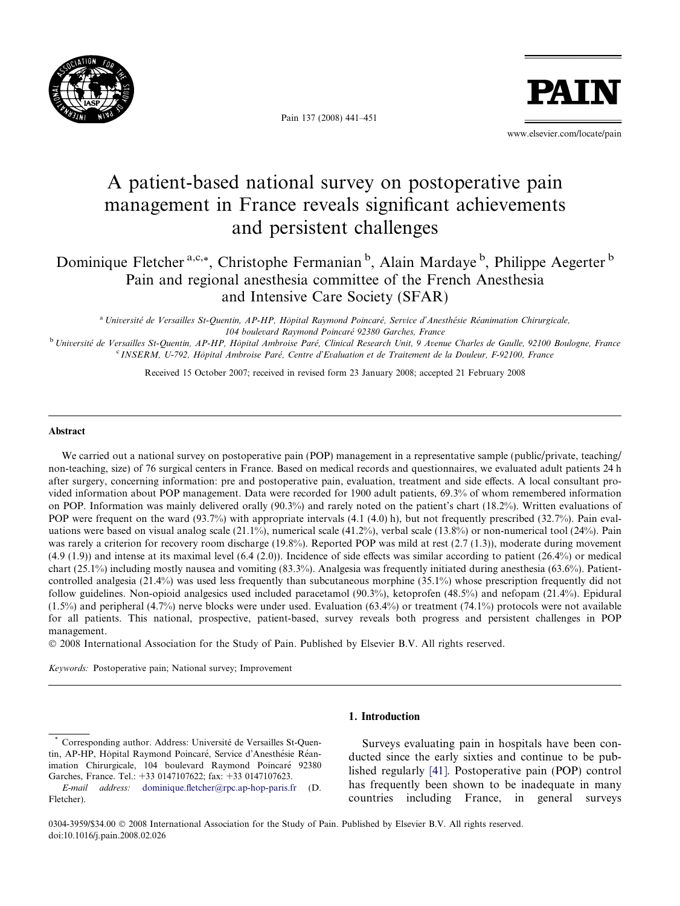

Pain 137 (2008) 441–451



www.elsevier.com/locate/pain

# A patient-based national survey on postoperative pain management in France reveals significant achievements and persistent challenges

Dominique Fletcher<sup>a,c,\*</sup>, Christophe Fermanian<sup>b</sup>, Alain Mardaye<sup>b</sup>, Philippe Aegerter<sup>b</sup> Pain and regional anesthesia committee of the French Anesthesia and Intensive Care Society (SFAR)

<sup>a</sup> Université de Versailles St-Quentin, AP-HP, Hôpital Raymond Poincaré, Service d'Anesthésie Réanimation Chirurgicale, 104 boulevard Raymond Poincaré 92380 Garches, France

<sup>b</sup> Université de Versailles St-Quentin, AP-HP, Hôpital Ambroise Paré, Clinical Research Unit, 9 Avenue Charles de Gaulle, 92100 Boulogne, France <sup>c</sup> INSERM, U-792, Hôpital Ambroise Paré, Centre d'Evaluation et de Traitement de la Douleur, F-92100, France

Received 15 October 2007; received in revised form 23 January 2008; accepted 21 February 2008

### Abstract

We carried out a national survey on postoperative pain (POP) management in a representative sample (public/private, teaching/ non-teaching, size) of 76 surgical centers in France. Based on medical records and questionnaires, we evaluated adult patients 24 h after surgery, concerning information: pre and postoperative pain, evaluation, treatment and side effects. A local consultant provided information about POP management. Data were recorded for 1900 adult patients, 69.3% of whom remembered information on POP. Information was mainly delivered orally (90.3%) and rarely noted on the patient's chart (18.2%). Written evaluations of POP were frequent on the ward (93.7%) with appropriate intervals (4.1 (4.0) h), but not frequently prescribed (32.7%). Pain evaluations were based on visual analog scale (21.1%), numerical scale (41.2%), verbal scale (13.8%) or non-numerical tool (24%). Pain was rarely a criterion for recovery room discharge (19.8%). Reported POP was mild at rest (2.7 (1.3)), moderate during movement (4.9 (1.9)) and intense at its maximal level (6.4 (2.0)). Incidence of side effects was similar according to patient (26.4%) or medical chart (25.1%) including mostly nausea and vomiting (83.3%). Analgesia was frequently initiated during anesthesia (63.6%). Patientcontrolled analgesia (21.4%) was used less frequently than subcutaneous morphine (35.1%) whose prescription frequently did not follow guidelines. Non-opioid analgesics used included paracetamol (90.3%), ketoprofen (48.5%) and nefopam (21.4%). Epidural  $(1.5\%)$  and peripheral  $(4.7\%)$  nerve blocks were under used. Evaluation  $(63.4\%)$  or treatment  $(74.1\%)$  protocols were not available for all patients. This national, prospective, patient-based, survey reveals both progress and persistent challenges in POP management.

- 2008 International Association for the Study of Pain. Published by Elsevier B.V. All rights reserved.

Keywords: Postoperative pain; National survey; Improvement

## 1. Introduction

Surveys evaluating pain in hospitals have been conducted since the early sixties and continue to be published regularly [\[41\].](#page--1-0) Postoperative pain (POP) control has frequently been shown to be inadequate in many countries including France, in general surveys

Corresponding author. Address: Université de Versailles St-Quentin, AP-HP, Hôpital Raymond Poincaré, Service d'Anesthésie Réanimation Chirurgicale, 104 boulevard Raymond Poincaré 92380 Garches, France. Tel.: +33 0147107622; fax: +33 0147107623.

E-mail address: [dominique.fletcher@rpc.ap-hop-paris.fr](mailto:dominique.fletcher@rpc.ap-hop-paris.fr) (D. Fletcher).

<sup>0304-3959/\$34.00 © 2008</sup> International Association for the Study of Pain. Published by Elsevier B.V. All rights reserved. doi:10.1016/j.pain.2008.02.026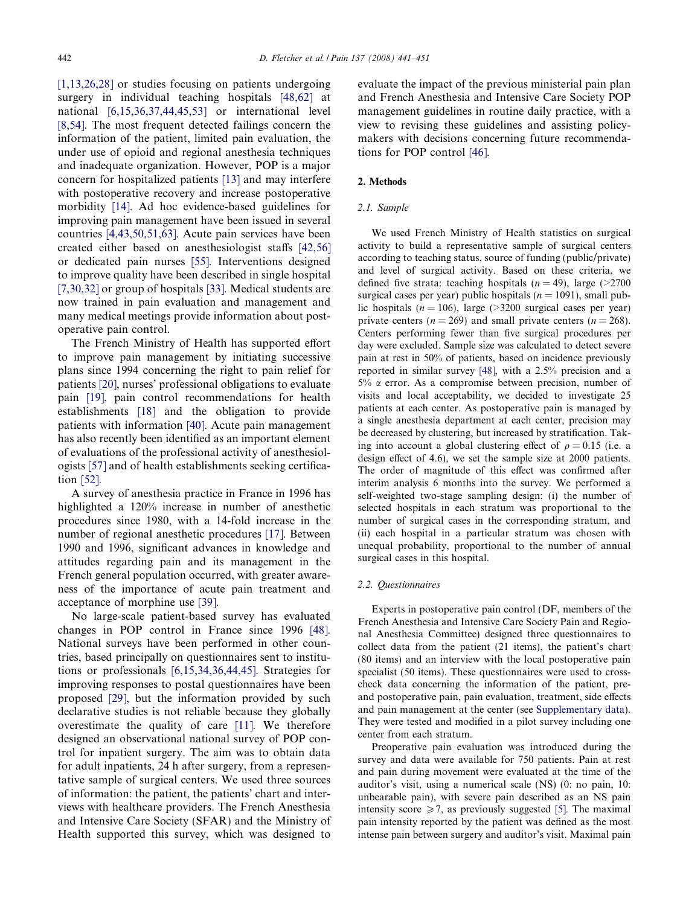[\[1,13,26,28\]](#page--1-0) or studies focusing on patients undergoing surgery in individual teaching hospitals [\[48,62\]](#page--1-0) at national [\[6,15,36,37,44,45,53\]](#page--1-0) or international level [\[8,54\].](#page--1-0) The most frequent detected failings concern the information of the patient, limited pain evaluation, the under use of opioid and regional anesthesia techniques and inadequate organization. However, POP is a major concern for hospitalized patients [\[13\]](#page--1-0) and may interfere with postoperative recovery and increase postoperative morbidity [\[14\].](#page--1-0) Ad hoc evidence-based guidelines for improving pain management have been issued in several countries [\[4,43,50,51,63\]](#page--1-0). Acute pain services have been created either based on anesthesiologist staffs [\[42,56\]](#page--1-0) or dedicated pain nurses [\[55\].](#page--1-0) Interventions designed to improve quality have been described in single hospital [\[7,30,32\]](#page--1-0) or group of hospitals [\[33\]](#page--1-0). Medical students are now trained in pain evaluation and management and many medical meetings provide information about postoperative pain control.

The French Ministry of Health has supported effort to improve pain management by initiating successive plans since 1994 concerning the right to pain relief for patients [\[20\]](#page--1-0), nurses' professional obligations to evaluate pain [\[19\]](#page--1-0), pain control recommendations for health establishments [\[18\]](#page--1-0) and the obligation to provide patients with information [\[40\]](#page--1-0). Acute pain management has also recently been identified as an important element of evaluations of the professional activity of anesthesiologists [\[57\]](#page--1-0) and of health establishments seeking certification [\[52\]](#page--1-0).

A survey of anesthesia practice in France in 1996 has highlighted a 120% increase in number of anesthetic procedures since 1980, with a 14-fold increase in the number of regional anesthetic procedures [\[17\].](#page--1-0) Between 1990 and 1996, significant advances in knowledge and attitudes regarding pain and its management in the French general population occurred, with greater awareness of the importance of acute pain treatment and acceptance of morphine use [\[39\]](#page--1-0).

No large-scale patient-based survey has evaluated changes in POP control in France since 1996 [\[48\]](#page--1-0). National surveys have been performed in other countries, based principally on questionnaires sent to institutions or professionals [\[6,15,34,36,44,45\].](#page--1-0) Strategies for improving responses to postal questionnaires have been proposed [\[29\],](#page--1-0) but the information provided by such declarative studies is not reliable because they globally overestimate the quality of care [\[11\]](#page--1-0). We therefore designed an observational national survey of POP control for inpatient surgery. The aim was to obtain data for adult inpatients, 24 h after surgery, from a representative sample of surgical centers. We used three sources of information: the patient, the patients' chart and interviews with healthcare providers. The French Anesthesia and Intensive Care Society (SFAR) and the Ministry of Health supported this survey, which was designed to evaluate the impact of the previous ministerial pain plan and French Anesthesia and Intensive Care Society POP management guidelines in routine daily practice, with a view to revising these guidelines and assisting policymakers with decisions concerning future recommendations for POP control [\[46\]](#page--1-0).

## 2. Methods

#### 2.1. Sample

We used French Ministry of Health statistics on surgical activity to build a representative sample of surgical centers according to teaching status, source of funding (public/private) and level of surgical activity. Based on these criteria, we defined five strata: teaching hospitals  $(n = 49)$ , large (>2700) surgical cases per year) public hospitals ( $n = 1091$ ), small public hospitals ( $n = 106$ ), large (>3200 surgical cases per year) private centers ( $n = 269$ ) and small private centers ( $n = 268$ ). Centers performing fewer than five surgical procedures per day were excluded. Sample size was calculated to detect severe pain at rest in 50% of patients, based on incidence previously reported in similar survey [\[48\],](#page--1-0) with a 2.5% precision and a  $5\%$   $\alpha$  error. As a compromise between precision, number of visits and local acceptability, we decided to investigate 25 patients at each center. As postoperative pain is managed by a single anesthesia department at each center, precision may be decreased by clustering, but increased by stratification. Taking into account a global clustering effect of  $\rho = 0.15$  (i.e. a design effect of 4.6), we set the sample size at 2000 patients. The order of magnitude of this effect was confirmed after interim analysis 6 months into the survey. We performed a self-weighted two-stage sampling design: (i) the number of selected hospitals in each stratum was proportional to the number of surgical cases in the corresponding stratum, and (ii) each hospital in a particular stratum was chosen with unequal probability, proportional to the number of annual surgical cases in this hospital.

### 2.2. Questionnaires

Experts in postoperative pain control (DF, members of the French Anesthesia and Intensive Care Society Pain and Regional Anesthesia Committee) designed three questionnaires to collect data from the patient (21 items), the patient's chart (80 items) and an interview with the local postoperative pain specialist (50 items). These questionnaires were used to crosscheck data concerning the information of the patient, preand postoperative pain, pain evaluation, treatment, side effects and pain management at the center (see Supplementary data). They were tested and modified in a pilot survey including one center from each stratum.

Preoperative pain evaluation was introduced during the survey and data were available for 750 patients. Pain at rest and pain during movement were evaluated at the time of the auditor's visit, using a numerical scale (NS) (0: no pain, 10: unbearable pain), with severe pain described as an NS pain intensity score  $\geq 7$ , as previously suggested [\[5\].](#page--1-0) The maximal pain intensity reported by the patient was defined as the most intense pain between surgery and auditor's visit. Maximal pain